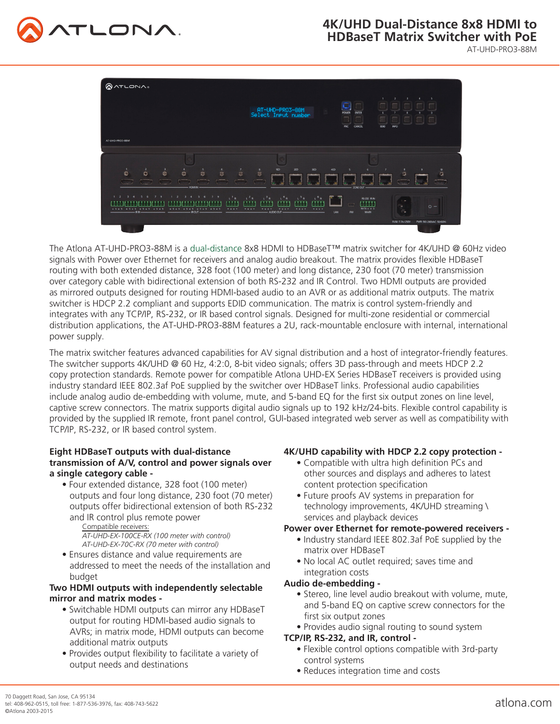# **4K/UHD Dual-Distance 8x8 HDMI to HDBaseT Matrix Switcher with PoE**



AT-UHD-PRO3-88M



The Atlona AT-UHD-PRO3-88M is a dual-distance 8x8 HDMI to HDBaseT™ matrix switcher for 4K/UHD @ 60Hz video signals with Power over Ethernet for receivers and analog audio breakout. The matrix provides flexible HDBaseT routing with both extended distance, 328 foot (100 meter) and long distance, 230 foot (70 meter) transmission over category cable with bidirectional extension of both RS-232 and IR Control. Two HDMI outputs are provided as mirrored outputs designed for routing HDMI-based audio to an AVR or as additional matrix outputs. The matrix switcher is HDCP 2.2 compliant and supports EDID communication. The matrix is control system-friendly and integrates with any TCP/IP, RS-232, or IR based control signals. Designed for multi-zone residential or commercial distribution applications, the AT-UHD-PRO3-88M features a 2U, rack-mountable enclosure with internal, international power supply.

The matrix switcher features advanced capabilities for AV signal distribution and a host of integrator-friendly features. The switcher supports 4K/UHD @ 60 Hz, 4:2:0, 8-bit video signals; offers 3D pass-through and meets HDCP 2.2 copy protection standards. Remote power for compatible Atlona UHD-EX Series HDBaseT receivers is provided using industry standard IEEE 802.3af PoE supplied by the switcher over HDBaseT links. Professional audio capabilities include analog audio de-embedding with volume, mute, and 5-band EQ for the first six output zones on line level, captive screw connectors. The matrix supports digital audio signals up to 192 kHz/24-bits. Flexible control capability is provided by the supplied IR remote, front panel control, GUI-based integrated web server as well as compatibility with TCP/IP, RS-232, or IR based control system.

# **Eight HDBaseT outputs with dual-distance transmission of A/V, control and power signals over a single category cable -**

 • Four extended distance, 328 foot (100 meter) outputs and four long distance, 230 foot (70 meter) outputs offer bidirectional extension of both RS-232 and IR control plus remote power

#### Compatible receivers: *AT-UHD-EX-100CE-RX (100 meter with control) AT-UHD-EX-70C-RX (70 meter with control)*

 • Ensures distance and value requirements are addressed to meet the needs of the installation and budget

# **Two HDMI outputs with independently selectable mirror and matrix modes -**

- Switchable HDMI outputs can mirror any HDBaseT output for routing HDMI-based audio signals to AVRs; in matrix mode, HDMI outputs can become additional matrix outputs
- Provides output flexibility to facilitate a variety of output needs and destinations

# **4K/UHD capability with HDCP 2.2 copy protection -**

- Compatible with ultra high definition PCs and other sources and displays and adheres to latest content protection specification
- Future proofs AV systems in preparation for technology improvements, 4K/UHD streaming \ services and playback devices

# **Power over Ethernet for remote-powered receivers -**

- Industry standard IEEE 802.3af PoE supplied by the matrix over HDBaseT
- No local AC outlet required; saves time and integration costs

# **Audio de-embedding -**

- Stereo, line level audio breakout with volume, mute, and 5-band EQ on captive screw connectors for the first six output zones
- Provides audio signal routing to sound system

# **TCP/IP, RS-232, and IR, control -**

- Flexible control options compatible with 3rd-party control systems
- Reduces integration time and costs